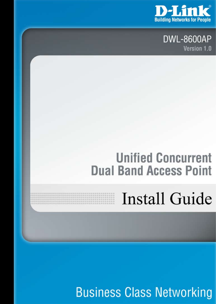

**DWL-8600AP** Version 1.0

#### **Unified Concurrent Dual Band Access Point**

## **Install Guide**

**Business Class Networking**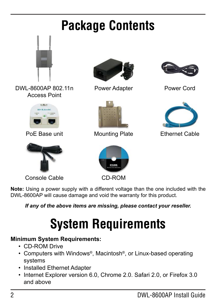## **Package Contents**



DWL-8600AP 802.11n Access Point





Console Cable



Power Adapter



PoE Base unit **All Mounting Plate** Finernet Cable



CD-ROM



Power Cord



**Note:** Using a power supply with a different voltage than the one included with the DWL-8600AP will cause damage and void the warranty for this product.

*If any of the above items are missing, please contact your reseller.*

### **System Requirements**

#### **Minimum System Requirements:**

- • CD-ROM Drive
- Computers with Windows®, Macintosh®, or Linux-based operating systems
- Installed Ethernet Adapter
- Internet Explorer version 6.0, Chrome 2.0. Safari 2.0, or Firefox 3.0 and above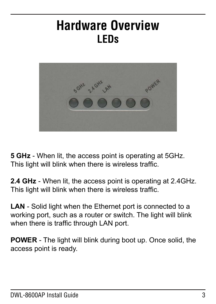#### **Hardware Overview LEDs**



**5 GHz** - When lit, the access point is operating at 5GHz. This light will blink when there is wireless traffic.

**2.4 GHz** - When lit, the access point is operating at 2.4GHz. This light will blink when there is wireless traffic.

**LAN** - Solid light when the Ethernet port is connected to a working port, such as a router or switch. The light will blink when there is traffic through LAN port.

**POWER** - The light will blink during boot up. Once solid, the access point is ready.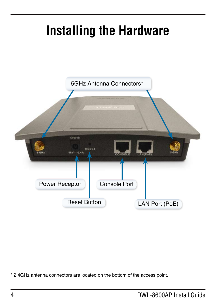#### **Installing the Hardware**



\* 2.4GHz antenna connectors are located on the bottom of the access point.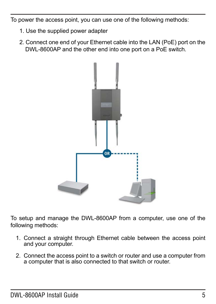To power the access point, you can use one of the following methods:

- 1. Use the supplied power adapter
- 2. Connect one end of your Ethernet cable into the LAN (PoE) port on the DWL-8600AP and the other end into one port on a PoE switch.



To setup and manage the DWL-8600AP from a computer, use one of the following methods:

- 1. Connect a straight through Ethernet cable between the access point and your computer.
- 2. Connect the access point to a switch or router and use a computer from a computer that is also connected to that switch or router.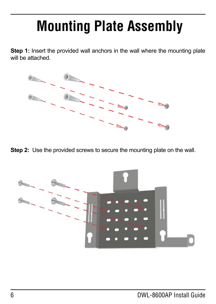# **Mounting Plate Assembly**

**Step 1:** Insert the provided wall anchors in the wall where the mounting plate will be attached.



**Step 2:** Use the provided screws to secure the mounting plate on the wall.

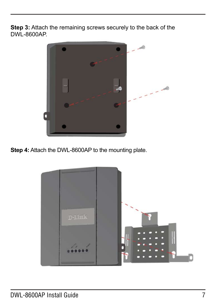**Step 3:** Attach the remaining screws securely to the back of the DWL-8600AP.



**Step 4:** Attach the DWL-8600AP to the mounting plate.

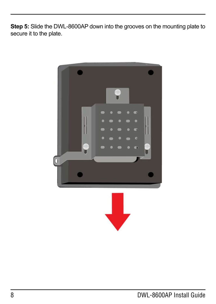**Step 5:** Slide the DWL-8600AP down into the grooves on the mounting plate to secure it to the plate.

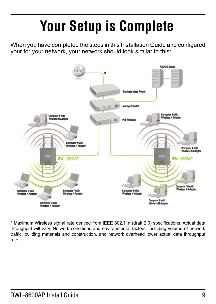# **Your Setup is Complete**

When you have completed the steps in this Installation Guide and configured your for your network, your network should look similar to this:



\* Maximum Wireless signal rate derived from IEEE 802.11n (draft 2.0) specifications. Actual data throughput will vary. Network conditions and environmental factors, including volume of network traffic, building materials and construction, and network overhead lower actual data throughput rate.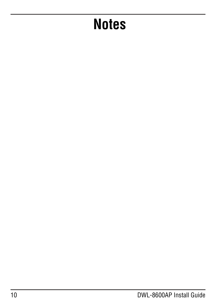## **Notes**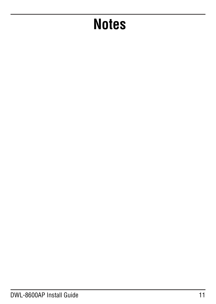## **Notes**